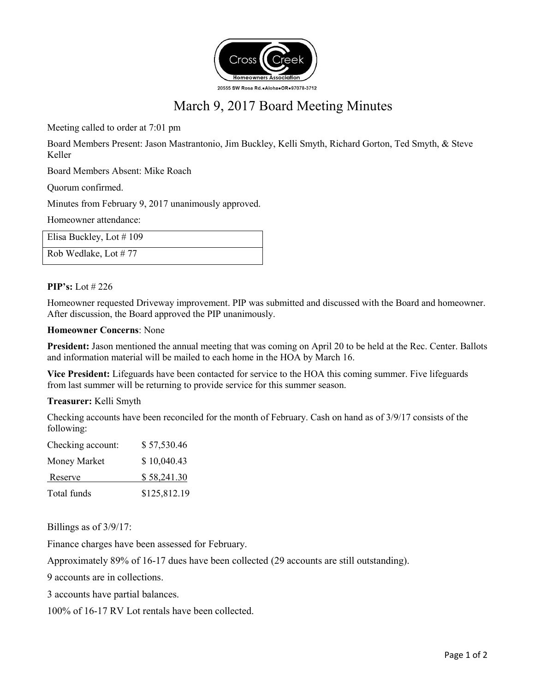

# March 9, 2017 Board Meeting Minutes

Meeting called to order at 7:01 pm

Board Members Present: Jason Mastrantonio, Jim Buckley, Kelli Smyth, Richard Gorton, Ted Smyth, & Steve Keller

Board Members Absent: Mike Roach

Quorum confirmed.

Minutes from February 9, 2017 unanimously approved.

Homeowner attendance:

| Elisa Buckley, Lot #109 |  |
|-------------------------|--|
| Rob Wedlake, Lot #77    |  |

### **PIP's:** Lot # 226

Homeowner requested Driveway improvement. PIP was submitted and discussed with the Board and homeowner. After discussion, the Board approved the PIP unanimously.

#### **Homeowner Concerns**: None

**President:** Jason mentioned the annual meeting that was coming on April 20 to be held at the Rec. Center. Ballots and information material will be mailed to each home in the HOA by March 16.

**Vice President:** Lifeguards have been contacted for service to the HOA this coming summer. Five lifeguards from last summer will be returning to provide service for this summer season.

#### **Treasurer:** Kelli Smyth

Checking accounts have been reconciled for the month of February. Cash on hand as of 3/9/17 consists of the following:

| Total funds       | \$125,812.19 |
|-------------------|--------------|
| Reserve           | \$58,241.30  |
| Money Market      | \$10,040.43  |
| Checking account: | \$57,530.46  |

Billings as of 3/9/17:

Finance charges have been assessed for February.

Approximately 89% of 16-17 dues have been collected (29 accounts are still outstanding).

9 accounts are in collections.

3 accounts have partial balances.

100% of 16-17 RV Lot rentals have been collected.